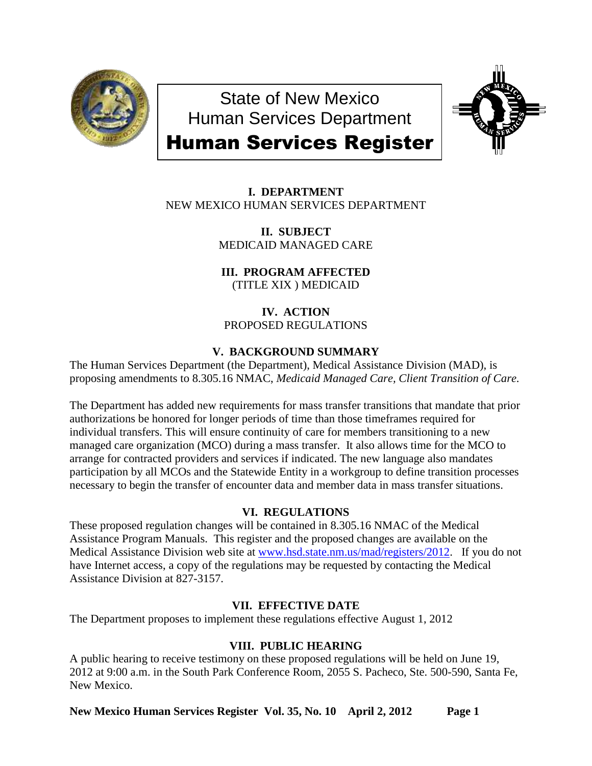

State of New Mexico Human Services Department



# Human Services Register

**I. DEPARTMENT** NEW MEXICO HUMAN SERVICES DEPARTMENT

> **II. SUBJECT** MEDICAID MANAGED CARE

**III. PROGRAM AFFECTED** (TITLE XIX ) MEDICAID

# **IV. ACTION** PROPOSED REGULATIONS

# **V. BACKGROUND SUMMARY**

The Human Services Department (the Department), Medical Assistance Division (MAD), is proposing amendments to 8.305.16 NMAC, *Medicaid Managed Care, Client Transition of Care.*

The Department has added new requirements for mass transfer transitions that mandate that prior authorizations be honored for longer periods of time than those timeframes required for individual transfers. This will ensure continuity of care for members transitioning to a new managed care organization (MCO) during a mass transfer. It also allows time for the MCO to arrange for contracted providers and services if indicated. The new language also mandates participation by all MCOs and the Statewide Entity in a workgroup to define transition processes necessary to begin the transfer of encounter data and member data in mass transfer situations.

# **VI. REGULATIONS**

These proposed regulation changes will be contained in 8.305.16 NMAC of the Medical Assistance Program Manuals. This register and the proposed changes are available on the Medical Assistance Division web site at [www.hsd.state.nm.us/mad/registers/2012.](http://www.hsd.state.nm.us/mad/registers/2012) If you do not have Internet access, a copy of the regulations may be requested by contacting the Medical Assistance Division at 827-3157.

# **VII. EFFECTIVE DATE**

The Department proposes to implement these regulations effective August 1, 2012

# **VIII. PUBLIC HEARING**

A public hearing to receive testimony on these proposed regulations will be held on June 19, 2012 at 9:00 a.m. in the South Park Conference Room, 2055 S. Pacheco, Ste. 500-590, Santa Fe, New Mexico.

**New Mexico Human Services Register Vol. 35, No. 10 April 2, 2012 Page 1**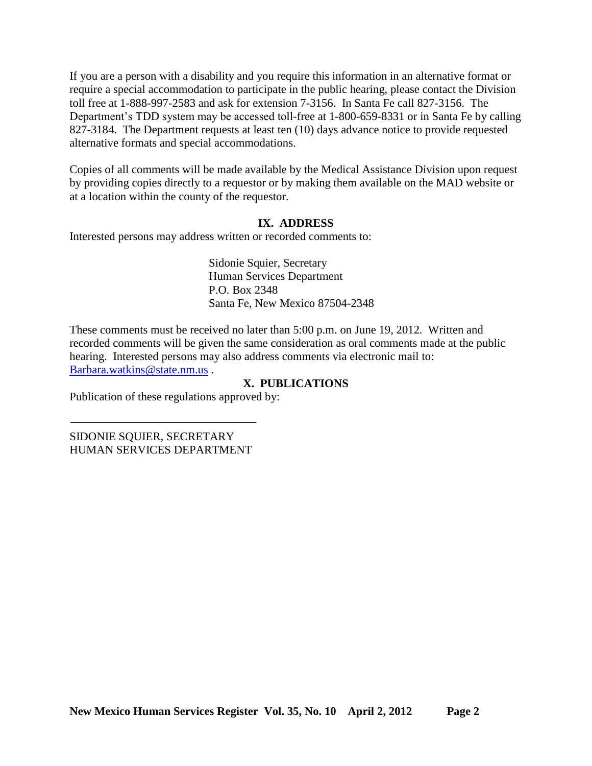If you are a person with a disability and you require this information in an alternative format or require a special accommodation to participate in the public hearing, please contact the Division toll free at 1-888-997-2583 and ask for extension 7-3156. In Santa Fe call 827-3156. The Department's TDD system may be accessed toll-free at 1-800-659-8331 or in Santa Fe by calling 827-3184. The Department requests at least ten (10) days advance notice to provide requested alternative formats and special accommodations.

Copies of all comments will be made available by the Medical Assistance Division upon request by providing copies directly to a requestor or by making them available on the MAD website or at a location within the county of the requestor.

## **IX. ADDRESS**

Interested persons may address written or recorded comments to:

Sidonie Squier, Secretary Human Services Department P.O. Box 2348 Santa Fe, New Mexico 87504-2348

These comments must be received no later than 5:00 p.m. on June 19, 2012. Written and recorded comments will be given the same consideration as oral comments made at the public hearing. Interested persons may also address comments via electronic mail to: [Barbara.watkins@state.nm.us](mailto:Barbara.watkins@state.nm.us) .

## **X. PUBLICATIONS**

Publication of these regulations approved by:

SIDONIE SQUIER, SECRETARY HUMAN SERVICES DEPARTMENT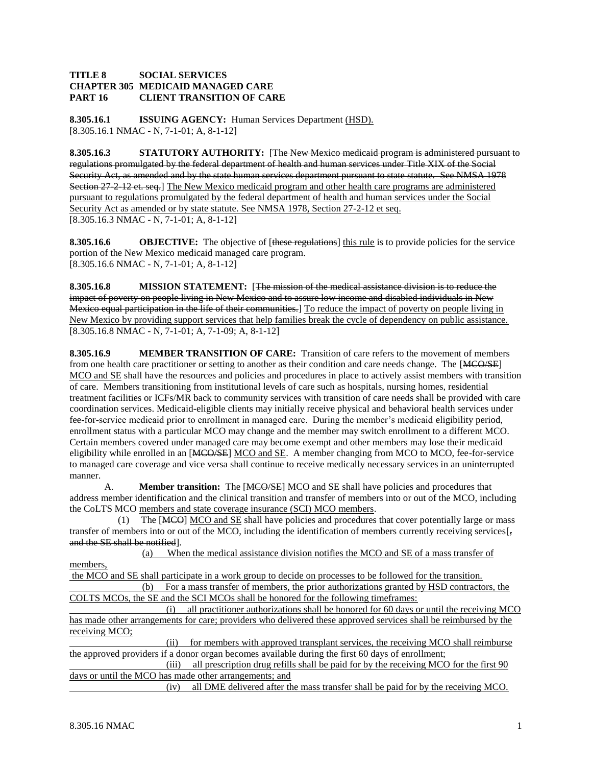#### **TITLE 8 SOCIAL SERVICES CHAPTER 305 MEDICAID MANAGED CARE PART 16 CLIENT TRANSITION OF CARE**

**8.305.16.1 ISSUING AGENCY:** Human Services Department (HSD). [8.305.16.1 NMAC - N, 7-1-01; A, 8-1-12]

**8.305.16.3 STATUTORY AUTHORITY:** [The New Mexico medicaid program is administered pursuant to regulations promulgated by the federal department of health and human services under Title XIX of the Social Security Act, as amended and by the state human services department pursuant to state statute. See NMSA 1978 Section 27-2-12 et. seq.] The New Mexico medicaid program and other health care programs are administered pursuant to regulations promulgated by the federal department of health and human services under the Social Security Act as amended or by state statute. See NMSA 1978, Section 27-2-12 et seq. [8.305.16.3 NMAC - N, 7-1-01; A, 8-1-12]

**8.305.16.6 OBJECTIVE:** The objective of [these regulations] this rule is to provide policies for the service portion of the New Mexico medicaid managed care program. [8.305.16.6 NMAC - N, 7-1-01; A, 8-1-12]

**8.305.16.8 MISSION STATEMENT:** [The mission of the medical assistance division is to reduce the impact of poverty on people living in New Mexico and to assure low income and disabled individuals in New Mexico equal participation in the life of their communities.] To reduce the impact of poverty on people living in New Mexico by providing support services that help families break the cycle of dependency on public assistance. [8.305.16.8 NMAC - N, 7-1-01; A, 7-1-09; A, 8-1-12]

**8.305.16.9 MEMBER TRANSITION OF CARE:** Transition of care refers to the movement of members from one health care practitioner or setting to another as their condition and care needs change. The [MCO/SE] MCO and SE shall have the resources and policies and procedures in place to actively assist members with transition of care. Members transitioning from institutional levels of care such as hospitals, nursing homes, residential treatment facilities or ICFs/MR back to community services with transition of care needs shall be provided with care coordination services. Medicaid-eligible clients may initially receive physical and behavioral health services under fee-for-service medicaid prior to enrollment in managed care. During the member's medicaid eligibility period, enrollment status with a particular MCO may change and the member may switch enrollment to a different MCO. Certain members covered under managed care may become exempt and other members may lose their medicaid eligibility while enrolled in an [MCO/SE] MCO and SE. A member changing from MCO to MCO, fee-for-service to managed care coverage and vice versa shall continue to receive medically necessary services in an uninterrupted manner.

A. **Member transition:** The [MCO/SE] MCO and SE shall have policies and procedures that address member identification and the clinical transition and transfer of members into or out of the MCO, including the CoLTS MCO members and state coverage insurance (SCI) MCO members.

(1) The  $[MCO] MCO$  and  $SE$  shall have policies and procedures that cover potentially large or mass transfer of members into or out of the MCO, including the identification of members currently receiving services[ $\frac{1}{2}$ ] and the SE shall be notified].

 (a) When the medical assistance division notifies the MCO and SE of a mass transfer of members,

the MCO and SE shall participate in a work group to decide on processes to be followed for the transition. (b) For a mass transfer of members, the prior authorizations granted by HSD contractors, the COLTS MCOs, the SE and the SCI MCOs shall be honored for the following timeframes:

 (i) all practitioner authorizations shall be honored for 60 days or until the receiving MCO has made other arrangements for care; providers who delivered these approved services shall be reimbursed by the receiving MCO;

 (ii) for members with approved transplant services, the receiving MCO shall reimburse the approved providers if a donor organ becomes available during the first 60 days of enrollment;

(iii) all prescription drug refills shall be paid for by the receiving MCO for the first 90 days or until the MCO has made other arrangements; and

(iv) all DME delivered after the mass transfer shall be paid for by the receiving MCO.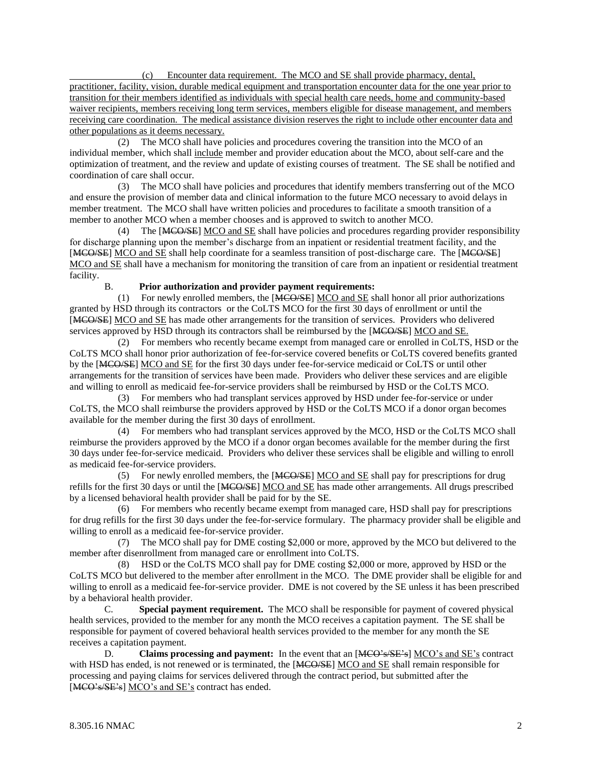(c) Encounter data requirement. The MCO and SE shall provide pharmacy, dental, practitioner, facility, vision, durable medical equipment and transportation encounter data for the one year prior to transition for their members identified as individuals with special health care needs, home and community-based waiver recipients, members receiving long term services, members eligible for disease management, and members receiving care coordination. The medical assistance division reserves the right to include other encounter data and other populations as it deems necessary.

 (2) The MCO shall have policies and procedures covering the transition into the MCO of an individual member, which shall include member and provider education about the MCO, about self-care and the optimization of treatment, and the review and update of existing courses of treatment. The SE shall be notified and coordination of care shall occur.

 (3) The MCO shall have policies and procedures that identify members transferring out of the MCO and ensure the provision of member data and clinical information to the future MCO necessary to avoid delays in member treatment. The MCO shall have written policies and procedures to facilitate a smooth transition of a member to another MCO when a member chooses and is approved to switch to another MCO.

 (4) The [MCO/SE] MCO and SE shall have policies and procedures regarding provider responsibility for discharge planning upon the member's discharge from an inpatient or residential treatment facility, and the [MCO/SE] MCO and SE shall help coordinate for a seamless transition of post-discharge care. The [MCO/SE] MCO and SE shall have a mechanism for monitoring the transition of care from an inpatient or residential treatment facility.

### B. **Prior authorization and provider payment requirements:**

 (1) For newly enrolled members, the [MCO/SE] MCO and SE shall honor all prior authorizations granted by HSD through its contractors or the CoLTS MCO for the first 30 days of enrollment or until the [MCO/SE] MCO and SE has made other arrangements for the transition of services. Providers who delivered services approved by HSD through its contractors shall be reimbursed by the [MCO/SE] MCO and SE.

 (2) For members who recently became exempt from managed care or enrolled in CoLTS, HSD or the CoLTS MCO shall honor prior authorization of fee-for-service covered benefits or CoLTS covered benefits granted by the [MCO/SE] MCO and SE for the first 30 days under fee-for-service medicaid or CoLTS or until other arrangements for the transition of services have been made. Providers who deliver these services and are eligible and willing to enroll as medicaid fee-for-service providers shall be reimbursed by HSD or the CoLTS MCO.

 (3) For members who had transplant services approved by HSD under fee-for-service or under CoLTS, the MCO shall reimburse the providers approved by HSD or the CoLTS MCO if a donor organ becomes available for the member during the first 30 days of enrollment.

 (4) For members who had transplant services approved by the MCO, HSD or the CoLTS MCO shall reimburse the providers approved by the MCO if a donor organ becomes available for the member during the first 30 days under fee-for-service medicaid. Providers who deliver these services shall be eligible and willing to enroll as medicaid fee-for-service providers.

 (5) For newly enrolled members, the [MCO/SE] MCO and SE shall pay for prescriptions for drug refills for the first 30 days or until the [MCO/SE] MCO and SE has made other arrangements. All drugs prescribed by a licensed behavioral health provider shall be paid for by the SE.

 (6) For members who recently became exempt from managed care, HSD shall pay for prescriptions for drug refills for the first 30 days under the fee-for-service formulary. The pharmacy provider shall be eligible and willing to enroll as a medicaid fee-for-service provider.

 (7) The MCO shall pay for DME costing \$2,000 or more, approved by the MCO but delivered to the member after disenrollment from managed care or enrollment into CoLTS.

 (8) HSD or the CoLTS MCO shall pay for DME costing \$2,000 or more, approved by HSD or the CoLTS MCO but delivered to the member after enrollment in the MCO. The DME provider shall be eligible for and willing to enroll as a medicaid fee-for-service provider. DME is not covered by the SE unless it has been prescribed by a behavioral health provider.

C. **Special payment requirement.** The MCO shall be responsible for payment of covered physical health services, provided to the member for any month the MCO receives a capitation payment. The SE shall be responsible for payment of covered behavioral health services provided to the member for any month the SE receives a capitation payment.

D. **Claims processing and payment:** In the event that an [MCO's/SE's] MCO's and SE's contract with HSD has ended, is not renewed or is terminated, the [MCO/SE] MCO and SE shall remain responsible for processing and paying claims for services delivered through the contract period, but submitted after the [MCO's/SE's] MCO's and SE's contract has ended.